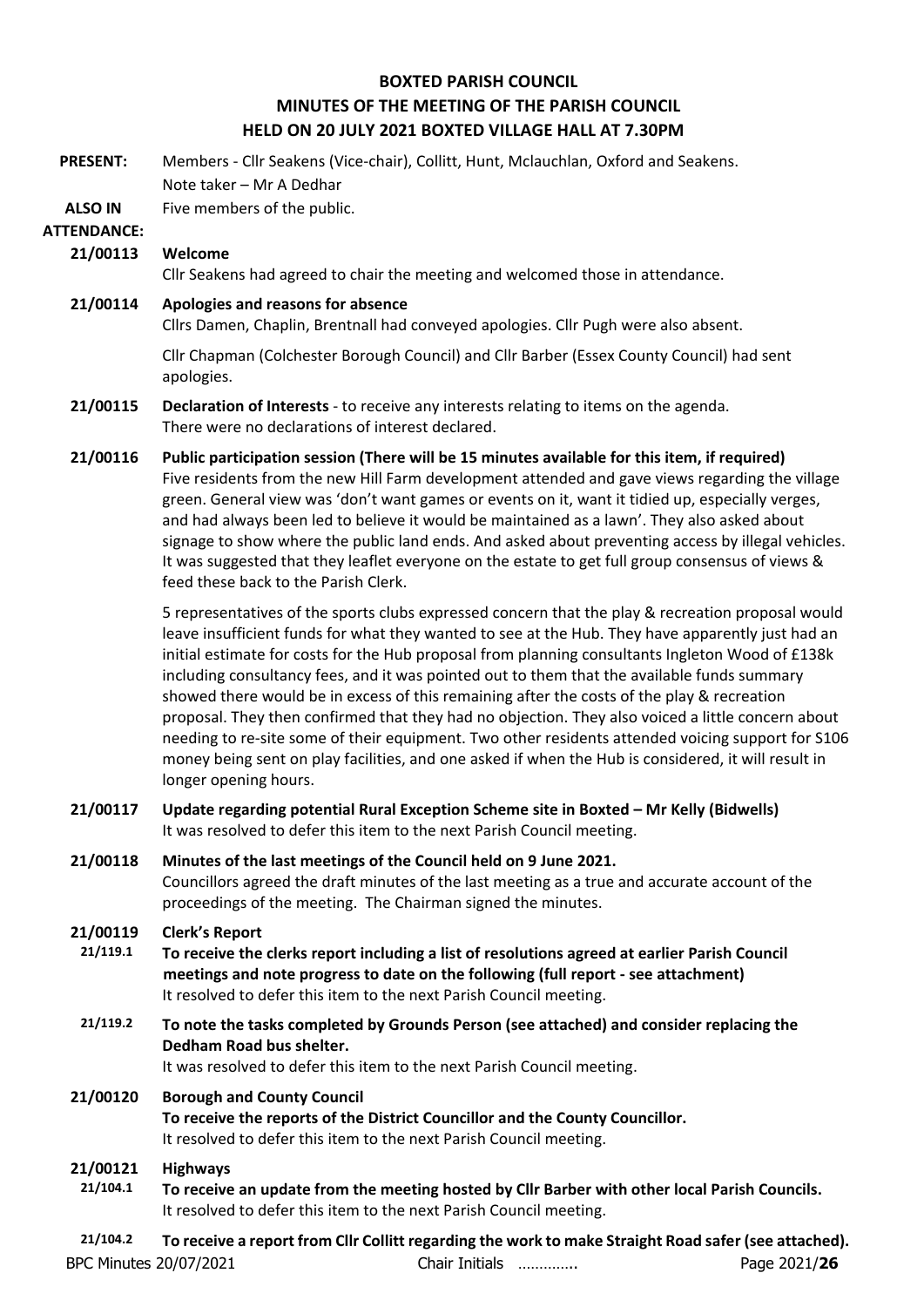## **BOXTED PARISH COUNCIL MINUTES OF THE MEETING OF THE PARISH COUNCIL HELD ON 20 JULY 2021 BOXTED VILLAGE HALL AT 7.30PM**

**PRESENT:** Members - Cllr Seakens (Vice-chair), Collitt, Hunt, Mclauchlan, Oxford and Seakens. Note taker – Mr A Dedhar

**ALSO IN**  Five members of the public.

## **ATTENDANCE:**

## **21/00113 Welcome**

Cllr Seakens had agreed to chair the meeting and welcomed those in attendance.

## **21/00114 Apologies and reasons for absence**

Cllrs Damen, Chaplin, Brentnall had conveyed apologies. Cllr Pugh were also absent.

Cllr Chapman (Colchester Borough Council) and Cllr Barber (Essex County Council) had sent apologies.

## **21/00115 Declaration of Interests** - to receive any interests relating to items on the agenda. There were no declarations of interest declared.

**21/00116 Public participation session (There will be 15 minutes available for this item, if required)** Five residents from the new Hill Farm development attended and gave views regarding the village green. General view was 'don't want games or events on it, want it tidied up, especially verges, and had always been led to believe it would be maintained as a lawn'. They also asked about signage to show where the public land ends. And asked about preventing access by illegal vehicles. It was suggested that they leaflet everyone on the estate to get full group consensus of views & feed these back to the Parish Clerk.

> 5 representatives of the sports clubs expressed concern that the play & recreation proposal would leave insufficient funds for what they wanted to see at the Hub. They have apparently just had an initial estimate for costs for the Hub proposal from planning consultants Ingleton Wood of £138k including consultancy fees, and it was pointed out to them that the available funds summary showed there would be in excess of this remaining after the costs of the play & recreation proposal. They then confirmed that they had no objection. They also voiced a little concern about needing to re-site some of their equipment. Two other residents attended voicing support for S106 money being sent on play facilities, and one asked if when the Hub is considered, it will result in longer opening hours.

- **21/00117 Update regarding potential Rural Exception Scheme site in Boxted – Mr Kelly (Bidwells)** It was resolved to defer this item to the next Parish Council meeting.
- **21/00118 Minutes of the last meetings of the Council held on 9 June 2021.** Councillors agreed the draft minutes of the last meeting as a true and accurate account of the proceedings of the meeting. The Chairman signed the minutes.
- **21/00119 Clerk's Report**
- **21/119.1 To receive the clerks report including a list of resolutions agreed at earlier Parish Council meetings and note progress to date on the following (full report - see attachment)** It resolved to defer this item to the next Parish Council meeting.
- **21/119.2 To note the tasks completed by Grounds Person (see attached) and consider replacing the Dedham Road bus shelter.**

It was resolved to defer this item to the next Parish Council meeting.

#### **21/00120 Borough and County Council**

**To receive the reports of the District Councillor and the County Councillor.** It resolved to defer this item to the next Parish Council meeting.

## **21/00121 Highways**

**21/104.1 To receive an update from the meeting hosted by Cllr Barber with other local Parish Councils.**  It resolved to defer this item to the next Parish Council meeting.

BPC Minutes 20/07/2021 Chair Initials ………….. Page 2021/**26 21/104.2 To receive a report from Cllr Collitt regarding the work to make Straight Road safer (see attached).**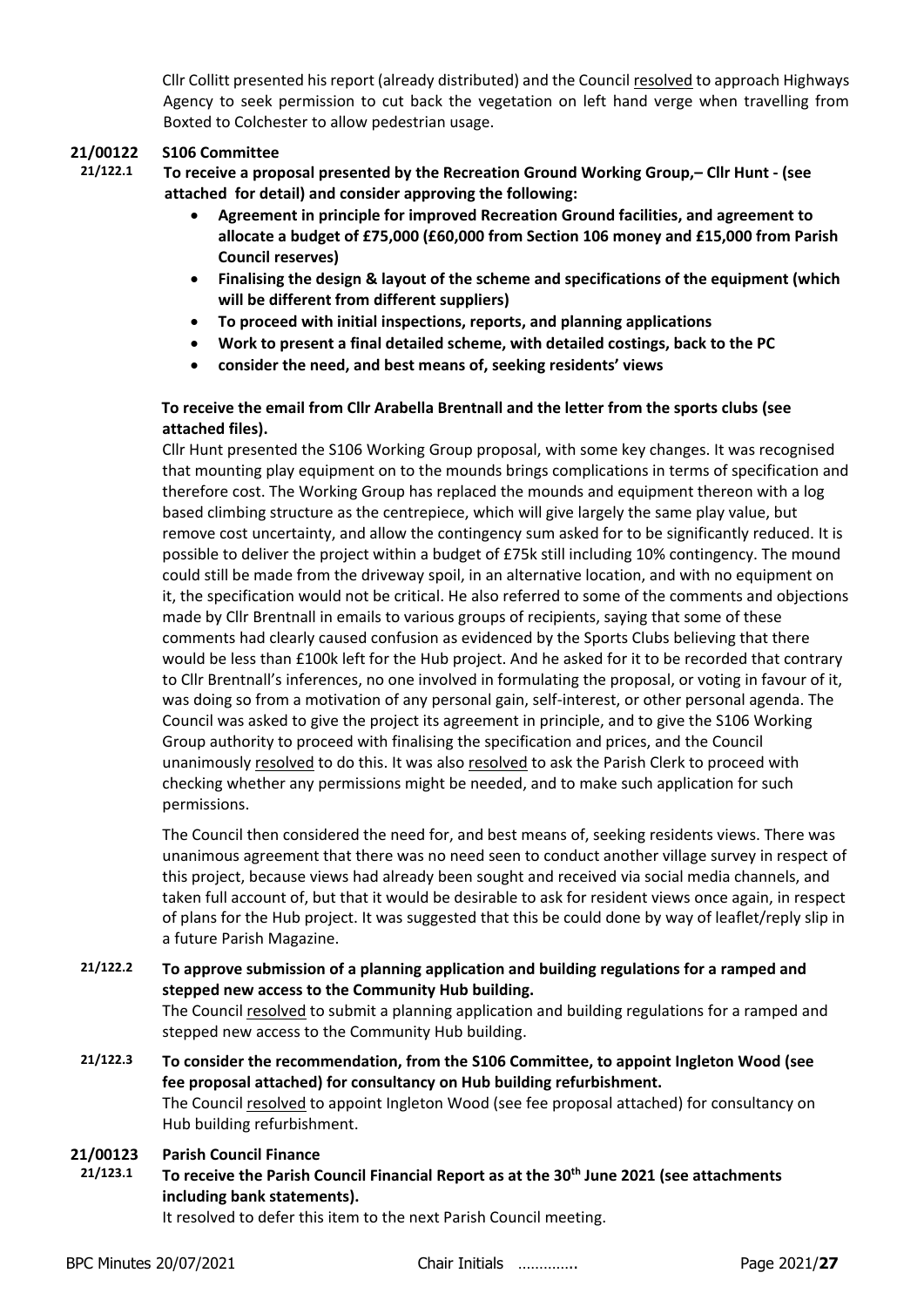Cllr Collitt presented his report (already distributed) and the Council resolved to approach Highways Agency to seek permission to cut back the vegetation on left hand verge when travelling from Boxted to Colchester to allow pedestrian usage.

#### **21/00122 S106 Committee**

- **21/122.1 To receive a proposal presented by the Recreation Ground Working Group,– Cllr Hunt - (see attached for detail) and consider approving the following:**
	- **Agreement in principle for improved Recreation Ground facilities, and agreement to allocate a budget of £75,000 (£60,000 from Section 106 money and £15,000 from Parish Council reserves)**
	- **Finalising the design & layout of the scheme and specifications of the equipment (which will be different from different suppliers)**
	- **To proceed with initial inspections, reports, and planning applications**
	- **Work to present a final detailed scheme, with detailed costings, back to the PC**
	- **consider the need, and best means of, seeking residents' views**

## **To receive the email from Cllr Arabella Brentnall and the letter from the sports clubs (see attached files).**

Cllr Hunt presented the S106 Working Group proposal, with some key changes. It was recognised that mounting play equipment on to the mounds brings complications in terms of specification and therefore cost. The Working Group has replaced the mounds and equipment thereon with a log based climbing structure as the centrepiece, which will give largely the same play value, but remove cost uncertainty, and allow the contingency sum asked for to be significantly reduced. It is possible to deliver the project within a budget of £75k still including 10% contingency. The mound could still be made from the driveway spoil, in an alternative location, and with no equipment on it, the specification would not be critical. He also referred to some of the comments and objections made by Cllr Brentnall in emails to various groups of recipients, saying that some of these comments had clearly caused confusion as evidenced by the Sports Clubs believing that there would be less than £100k left for the Hub project. And he asked for it to be recorded that contrary to Cllr Brentnall's inferences, no one involved in formulating the proposal, or voting in favour of it, was doing so from a motivation of any personal gain, self-interest, or other personal agenda. The Council was asked to give the project its agreement in principle, and to give the S106 Working Group authority to proceed with finalising the specification and prices, and the Council unanimously resolved to do this. It was also resolved to ask the Parish Clerk to proceed with checking whether any permissions might be needed, and to make such application for such permissions.

The Council then considered the need for, and best means of, seeking residents views. There was unanimous agreement that there was no need seen to conduct another village survey in respect of this project, because views had already been sought and received via social media channels, and taken full account of, but that it would be desirable to ask for resident views once again, in respect of plans for the Hub project. It was suggested that this be could done by way of leaflet/reply slip in a future Parish Magazine.

- **21/122.2 To approve submission of a planning application and building regulations for a ramped and stepped new access to the Community Hub building.**  The Council resolved to submit a planning application and building regulations for a ramped and stepped new access to the Community Hub building.
- **21/122.3 To consider the recommendation, from the S106 Committee, to appoint Ingleton Wood (see fee proposal attached) for consultancy on Hub building refurbishment.** The Council resolved to appoint Ingleton Wood (see fee proposal attached) for consultancy on Hub building refurbishment.

#### **21/00123 Parish Council Finance**

**21/123.1 To receive the Parish Council Financial Report as at the 30th June 2021 (see attachments including bank statements).**

It resolved to defer this item to the next Parish Council meeting.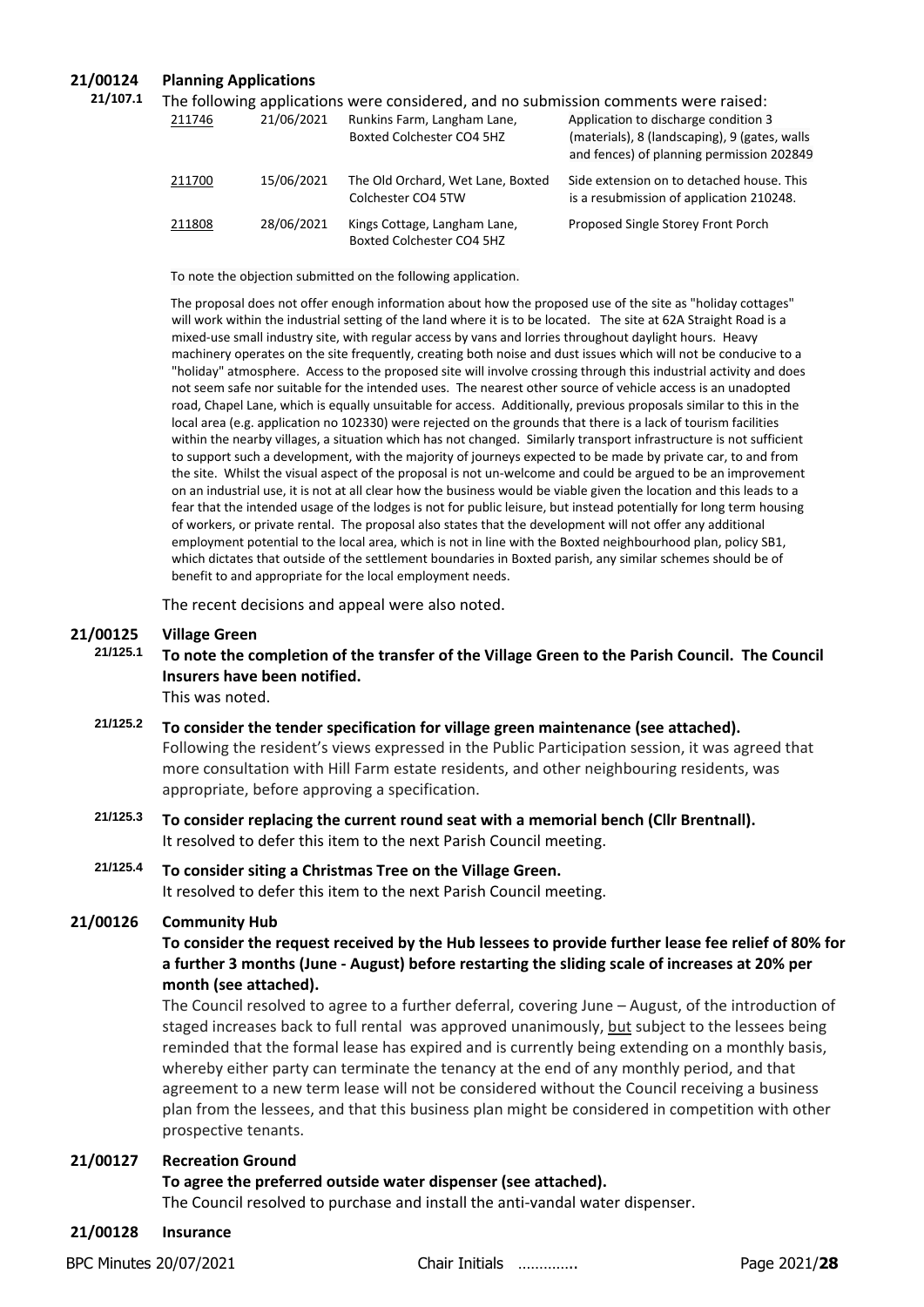## **21/00124 Planning Applications**

| 21/107.1 | The following applications were considered, and no submission comments were raised: |            |                                                           |                                                                                                                                    |
|----------|-------------------------------------------------------------------------------------|------------|-----------------------------------------------------------|------------------------------------------------------------------------------------------------------------------------------------|
|          | 211746                                                                              | 21/06/2021 | Runkins Farm, Langham Lane,<br>Boxted Colchester CO4 5HZ  | Application to discharge condition 3<br>(materials), 8 (landscaping), 9 (gates, walls<br>and fences) of planning permission 202849 |
|          | 211700                                                                              | 15/06/2021 | The Old Orchard, Wet Lane, Boxted<br>Colchester CO4 5TW   | Side extension on to detached house. This<br>is a resubmission of application 210248.                                              |
|          | 211808                                                                              | 28/06/2021 | Kings Cottage, Langham Lane,<br>Boxted Colchester CO4 5HZ | Proposed Single Storey Front Porch                                                                                                 |

To note the objection submitted on the following application.

The proposal does not offer enough information about how the proposed use of the site as "holiday cottages" will work within the industrial setting of the land where it is to be located. The site at 62A Straight Road is a mixed-use small industry site, with regular access by vans and lorries throughout daylight hours. Heavy machinery operates on the site frequently, creating both noise and dust issues which will not be conducive to a "holiday" atmosphere. Access to the proposed site will involve crossing through this industrial activity and does not seem safe nor suitable for the intended uses. The nearest other source of vehicle access is an unadopted road, Chapel Lane, which is equally unsuitable for access. Additionally, previous proposals similar to this in the local area (e.g. application no 102330) were rejected on the grounds that there is a lack of tourism facilities within the nearby villages, a situation which has not changed. Similarly transport infrastructure is not sufficient to support such a development, with the majority of journeys expected to be made by private car, to and from the site. Whilst the visual aspect of the proposal is not un-welcome and could be argued to be an improvement on an industrial use, it is not at all clear how the business would be viable given the location and this leads to a fear that the intended usage of the lodges is not for public leisure, but instead potentially for long term housing of workers, or private rental. The proposal also states that the development will not offer any additional employment potential to the local area, which is not in line with the Boxted neighbourhood plan, policy SB1, which dictates that outside of the settlement boundaries in Boxted parish, any similar schemes should be of benefit to and appropriate for the local employment needs.

The recent decisions and appeal were also noted.

# **21/00125 Village Green**

**21/125.1 To note the completion of the transfer of the Village Green to the Parish Council. The Council Insurers have been notified.**  This was noted.

- **21/125.2 To consider the tender specification for village green maintenance (see attached).** Following the resident's views expressed in the Public Participation session, it was agreed that more consultation with Hill Farm estate residents, and other neighbouring residents, was appropriate, before approving a specification.
- **21/125.3 To consider replacing the current round seat with a memorial bench (Cllr Brentnall).** It resolved to defer this item to the next Parish Council meeting.
- **21/125.4 To consider siting a Christmas Tree on the Village Green.** It resolved to defer this item to the next Parish Council meeting.

#### **21/00126 Community Hub**

## **To consider the request received by the Hub lessees to provide further lease fee relief of 80% for a further 3 months (June - August) before restarting the sliding scale of increases at 20% per month (see attached).**

The Council resolved to agree to a further deferral, covering June – August, of the introduction of staged increases back to full rental was approved unanimously, but subject to the lessees being reminded that the formal lease has expired and is currently being extending on a monthly basis, whereby either party can terminate the tenancy at the end of any monthly period, and that agreement to a new term lease will not be considered without the Council receiving a business plan from the lessees, and that this business plan might be considered in competition with other prospective tenants.

#### **21/00127 Recreation Ground**

#### **To agree the preferred outside water dispenser (see attached).**

The Council resolved to purchase and install the anti-vandal water dispenser.

**21/00128 Insurance**